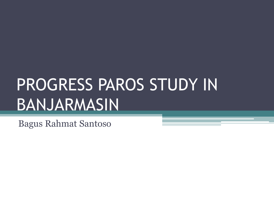# PROGRESS PAROS STUDY IN BANJARMASIN

Bagus Rahmat Santoso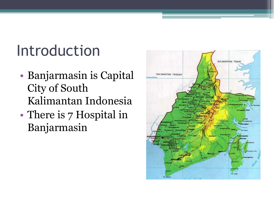### Introduction

- Banjarmasin is Capital City of South Kalimantan Indonesia
- There is 7 Hospital in Banjarmasin

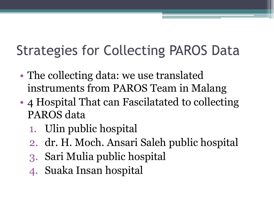#### Strategies for Collecting PAROS Data

- The collecting data: we use translated instruments from PAROS Team in Malang
- 4 Hospital That can Fascilatated to collecting PAROS data
	- 1. Ulin public hospital
	- 2. dr. H. Moch. Ansari Saleh public hospital
	- 3. Sari Mulia public hospital
	- 4. Suaka Insan hospital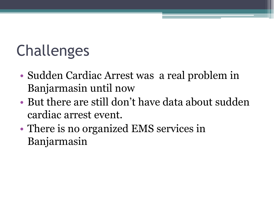## Challenges

- Sudden Cardiac Arrest was a real problem in Banjarmasin until now
- But there are still don't have data about sudden cardiac arrest event.
- There is no organized EMS services in Banjarmasin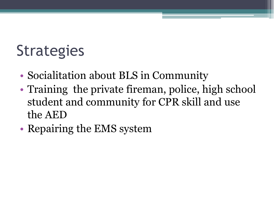#### **Strategies**

- Socialitation about BLS in Community
- Training the private fireman, police, high school student and community for CPR skill and use the AED
- Repairing the EMS system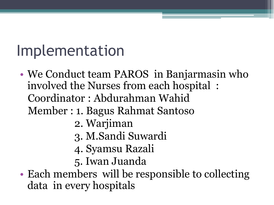### Implementation

- We Conduct team PAROS in Banjarmasin who involved the Nurses from each hospital : Coordinator : Abdurahman Wahid Member : 1. Bagus Rahmat Santoso 2. Warjiman 3. M.Sandi Suwardi 4. Syamsu Razali 5. Iwan Juanda
- Each members will be responsible to collecting data in every hospitals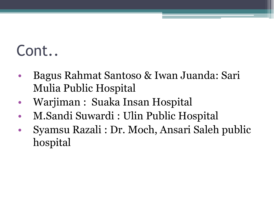### Cont..

- Bagus Rahmat Santoso & Iwan Juanda: Sari Mulia Public Hospital
- Warjiman : Suaka Insan Hospital
- M.Sandi Suwardi : Ulin Public Hospital
- Syamsu Razali : Dr. Moch, Ansari Saleh public hospital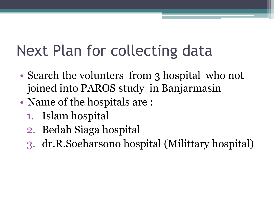### Next Plan for collecting data

- Search the volunters from 3 hospital who not joined into PAROS study in Banjarmasin
- Name of the hospitals are :
	- 1. Islam hospital
	- 2. Bedah Siaga hospital
	- 3. dr.R.Soeharsono hospital (Milittary hospital)